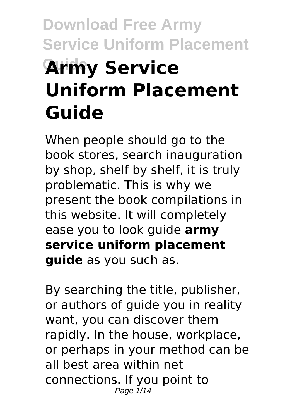# **Download Free Army Service Uniform Placement Army Service Uniform Placement Guide**

When people should go to the book stores, search inauguration by shop, shelf by shelf, it is truly problematic. This is why we present the book compilations in this website. It will completely ease you to look guide **army service uniform placement guide** as you such as.

By searching the title, publisher, or authors of guide you in reality want, you can discover them rapidly. In the house, workplace, or perhaps in your method can be all best area within net connections. If you point to Page  $1/14$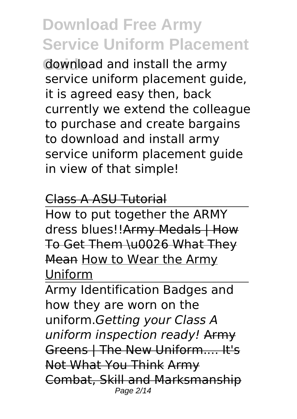**Gownload and install the army** service uniform placement guide, it is agreed easy then, back currently we extend the colleague to purchase and create bargains to download and install army service uniform placement guide in view of that simple!

#### Class A ASU Tutorial

How to put together the ARMY dress blues!!Army Medals | How To Get Them \u0026 What They Mean How to Wear the Army **Uniform** 

Army Identification Badges and how they are worn on the uniform.*Getting your Class A uniform inspection ready!* Army Greens | The New Uniform.... It's Not What You Think Army Combat, Skill and Marksmanship Page 2/14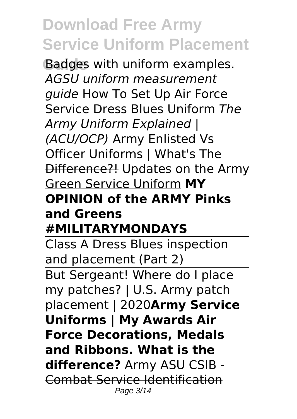**Badges with uniform examples.** *AGSU uniform measurement guide* How To Set Up Air Force Service Dress Blues Uniform *The Army Uniform Explained | (ACU/OCP)* Army Enlisted Vs Officer Uniforms | What's The Difference?! Updates on the Army Green Service Uniform **MY OPINION of the ARMY Pinks and Greens #MILITARYMONDAYS**

Class A Dress Blues inspection and placement (Part 2) But Sergeant! Where do I place my patches? | U.S. Army patch placement | 2020**Army Service Uniforms | My Awards Air Force Decorations, Medals and Ribbons. What is the difference?** Army ASU CSIB - Combat Service Identification Page 3/14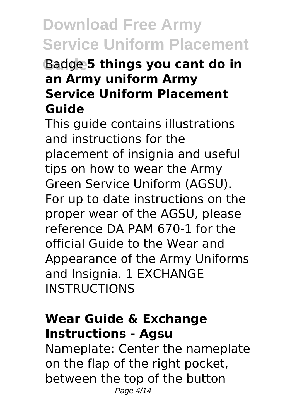#### **Guide** Badge **5 things you cant do in an Army uniform Army Service Uniform Placement Guide**

This guide contains illustrations and instructions for the placement of insignia and useful tips on how to wear the Army Green Service Uniform (AGSU). For up to date instructions on the proper wear of the AGSU, please reference DA PAM 670-1 for the official Guide to the Wear and Appearance of the Army Uniforms and Insignia. 1 EXCHANGE **INSTRUCTIONS** 

#### **Wear Guide & Exchange Instructions - Agsu**

Nameplate: Center the nameplate on the flap of the right pocket, between the top of the button Page 4/14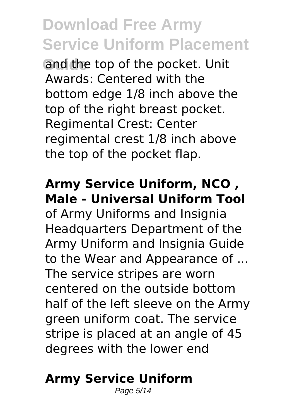and the top of the pocket. Unit Awards: Centered with the bottom edge 1/8 inch above the top of the right breast pocket. Regimental Crest: Center regimental crest 1/8 inch above the top of the pocket flap.

#### **Army Service Uniform, NCO , Male - Universal Uniform Tool**

of Army Uniforms and Insignia Headquarters Department of the Army Uniform and Insignia Guide to the Wear and Appearance of ... The service stripes are worn centered on the outside bottom half of the left sleeve on the Army green uniform coat. The service stripe is placed at an angle of 45 degrees with the lower end

### **Army Service Uniform**

Page 5/14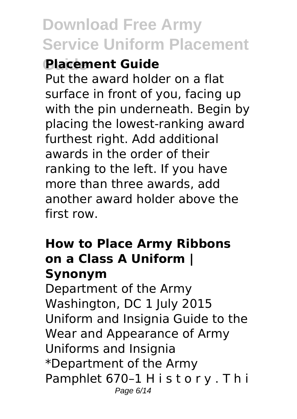### **Guide Placement Guide**

Put the award holder on a flat surface in front of you, facing up with the pin underneath. Begin by placing the lowest-ranking award furthest right. Add additional awards in the order of their ranking to the left. If you have more than three awards, add another award holder above the first row.

#### **How to Place Army Ribbons on a Class A Uniform | Synonym**

Department of the Army Washington, DC 1 July 2015 Uniform and Insignia Guide to the Wear and Appearance of Army Uniforms and Insignia \*Department of the Army Pamphlet 670–1 H i s t o r y . T h i Page 6/14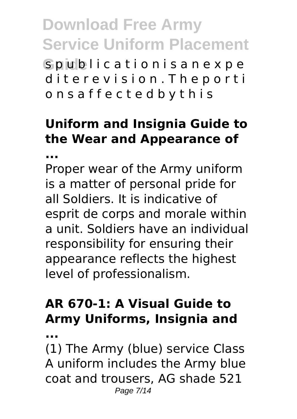**Gpublicationisanexpe** diterevision. The porti o n s a f f e c t e d b y t h i s

### **Uniform and Insignia Guide to the Wear and Appearance of**

**...**

Proper wear of the Army uniform is a matter of personal pride for all Soldiers. It is indicative of esprit de corps and morale within a unit. Soldiers have an individual responsibility for ensuring their appearance reflects the highest level of professionalism.

### **AR 670-1: A Visual Guide to Army Uniforms, Insignia and**

**...**

(1) The Army (blue) service Class A uniform includes the Army blue coat and trousers, AG shade 521 Page 7/14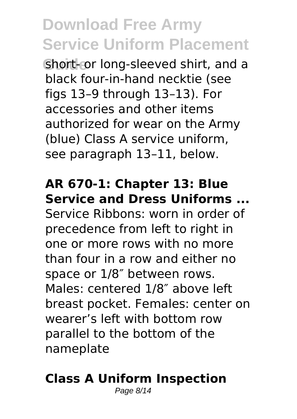**Short-or long-sleeved shirt, and a** black four-in-hand necktie (see figs 13–9 through 13–13). For accessories and other items authorized for wear on the Army (blue) Class A service uniform, see paragraph 13–11, below.

#### **AR 670-1: Chapter 13: Blue Service and Dress Uniforms ...**

Service Ribbons: worn in order of precedence from left to right in one or more rows with no more than four in a row and either no space or 1/8″ between rows. Males: centered 1/8″ above left breast pocket. Females: center on wearer's left with bottom row parallel to the bottom of the nameplate

#### **Class A Uniform Inspection**

Page 8/14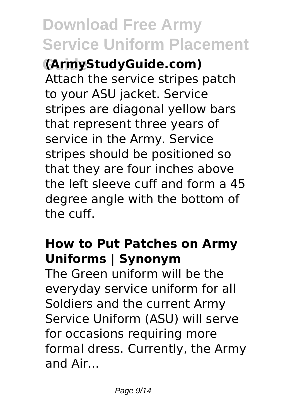**Guide (ArmyStudyGuide.com)** Attach the service stripes patch to your ASU jacket. Service stripes are diagonal yellow bars that represent three years of service in the Army. Service stripes should be positioned so that they are four inches above the left sleeve cuff and form a 45 degree angle with the bottom of the cuff.

#### **How to Put Patches on Army Uniforms | Synonym**

The Green uniform will be the everyday service uniform for all Soldiers and the current Army Service Uniform (ASU) will serve for occasions requiring more formal dress. Currently, the Army and Air...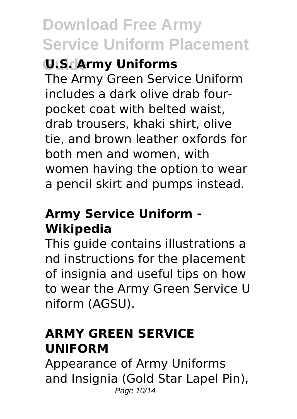### **Guide U.S. Army Uniforms**

The Army Green Service Uniform includes a dark olive drab fourpocket coat with belted waist, drab trousers, khaki shirt, olive tie, and brown leather oxfords for both men and women, with women having the option to wear a pencil skirt and pumps instead.

#### **Army Service Uniform - Wikipedia**

This guide contains illustrations a nd instructions for the placement of insignia and useful tips on how to wear the Army Green Service U niform (AGSU).

#### **ARMY GREEN SERVICE UNIFORM**

Appearance of Army Uniforms and Insignia (Gold Star Lapel Pin), Page 10/14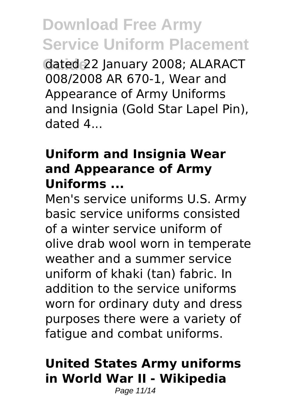**Guide** dated 22 January 2008; ALARACT 008/2008 AR 670-1, Wear and Appearance of Army Uniforms and Insignia (Gold Star Lapel Pin), dated 4...

#### **Uniform and Insignia Wear and Appearance of Army Uniforms ...**

Men's service uniforms U.S. Army basic service uniforms consisted of a winter service uniform of olive drab wool worn in temperate weather and a summer service uniform of khaki (tan) fabric. In addition to the service uniforms worn for ordinary duty and dress purposes there were a variety of fatigue and combat uniforms.

#### **United States Army uniforms in World War II - Wikipedia**

Page 11/14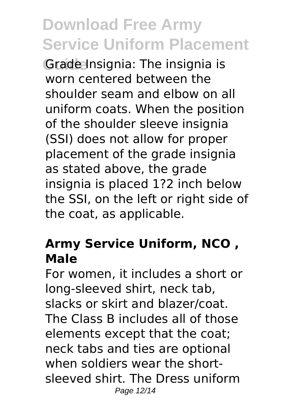**Grade Insignia: The insignia is** worn centered between the shoulder seam and elbow on all uniform coats. When the position of the shoulder sleeve insignia (SSI) does not allow for proper placement of the grade insignia as stated above, the grade insignia is placed 1?2 inch below the SSI, on the left or right side of the coat, as applicable.

#### **Army Service Uniform, NCO , Male**

For women, it includes a short or long-sleeved shirt, neck tab, slacks or skirt and blazer/coat. The Class B includes all of those elements except that the coat; neck tabs and ties are optional when soldiers wear the shortsleeved shirt. The Dress uniform Page 12/14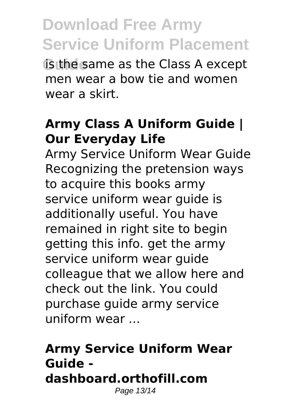**Guide** same as the Class A except men wear a bow tie and women wear a skirt.

#### **Army Class A Uniform Guide | Our Everyday Life**

Army Service Uniform Wear Guide Recognizing the pretension ways to acquire this books army service uniform wear guide is additionally useful. You have remained in right site to begin getting this info. get the army service uniform wear guide colleague that we allow here and check out the link. You could purchase guide army service uniform wear ...

#### **Army Service Uniform Wear Guide dashboard.orthofill.com** Page 13/14